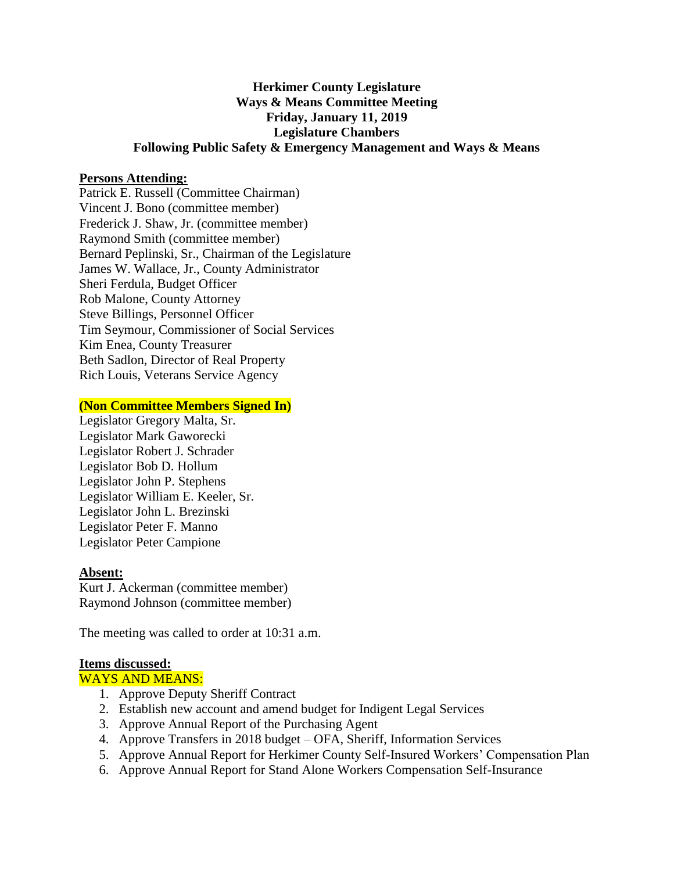# **Herkimer County Legislature Ways & Means Committee Meeting Friday, January 11, 2019 Legislature Chambers Following Public Safety & Emergency Management and Ways & Means**

### **Persons Attending:**

Patrick E. Russell (Committee Chairman) Vincent J. Bono (committee member) Frederick J. Shaw, Jr. (committee member) Raymond Smith (committee member) Bernard Peplinski, Sr., Chairman of the Legislature James W. Wallace, Jr., County Administrator Sheri Ferdula, Budget Officer Rob Malone, County Attorney Steve Billings, Personnel Officer Tim Seymour, Commissioner of Social Services Kim Enea, County Treasurer Beth Sadlon, Director of Real Property Rich Louis, Veterans Service Agency

### **(Non Committee Members Signed In)**

Legislator Gregory Malta, Sr. Legislator Mark Gaworecki Legislator Robert J. Schrader Legislator Bob D. Hollum Legislator John P. Stephens Legislator William E. Keeler, Sr. Legislator John L. Brezinski Legislator Peter F. Manno Legislator Peter Campione

#### **Absent:**

Kurt J. Ackerman (committee member) Raymond Johnson (committee member)

The meeting was called to order at 10:31 a.m.

#### **Items discussed:**

WAYS AND MEANS:

- 1. Approve Deputy Sheriff Contract
- 2. Establish new account and amend budget for Indigent Legal Services
- 3. Approve Annual Report of the Purchasing Agent
- 4. Approve Transfers in 2018 budget OFA, Sheriff, Information Services
- 5. Approve Annual Report for Herkimer County Self-Insured Workers' Compensation Plan
- 6. Approve Annual Report for Stand Alone Workers Compensation Self-Insurance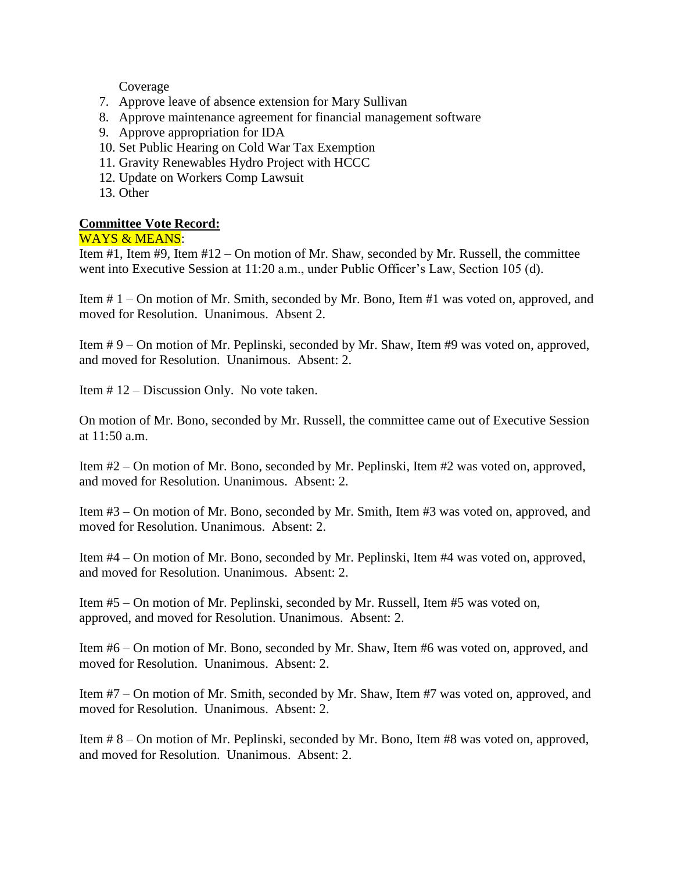Coverage

- 7. Approve leave of absence extension for Mary Sullivan
- 8. Approve maintenance agreement for financial management software
- 9. Approve appropriation for IDA
- 10. Set Public Hearing on Cold War Tax Exemption
- 11. Gravity Renewables Hydro Project with HCCC
- 12. Update on Workers Comp Lawsuit
- 13. Other

## **Committee Vote Record:**

## WAYS & MEANS:

Item #1, Item #9, Item #12 – On motion of Mr. Shaw, seconded by Mr. Russell, the committee went into Executive Session at 11:20 a.m., under Public Officer's Law, Section 105 (d).

Item # 1 – On motion of Mr. Smith, seconded by Mr. Bono, Item #1 was voted on, approved, and moved for Resolution. Unanimous. Absent 2.

Item # 9 – On motion of Mr. Peplinski, seconded by Mr. Shaw, Item #9 was voted on, approved, and moved for Resolution. Unanimous. Absent: 2.

Item # 12 – Discussion Only. No vote taken.

On motion of Mr. Bono, seconded by Mr. Russell, the committee came out of Executive Session at 11:50 a.m.

Item #2 – On motion of Mr. Bono, seconded by Mr. Peplinski, Item #2 was voted on, approved, and moved for Resolution. Unanimous. Absent: 2.

Item #3 – On motion of Mr. Bono, seconded by Mr. Smith, Item #3 was voted on, approved, and moved for Resolution. Unanimous. Absent: 2.

Item #4 – On motion of Mr. Bono, seconded by Mr. Peplinski, Item #4 was voted on, approved, and moved for Resolution. Unanimous. Absent: 2.

Item #5 – On motion of Mr. Peplinski, seconded by Mr. Russell, Item #5 was voted on, approved, and moved for Resolution. Unanimous. Absent: 2.

Item #6 – On motion of Mr. Bono, seconded by Mr. Shaw, Item #6 was voted on, approved, and moved for Resolution. Unanimous. Absent: 2.

Item #7 – On motion of Mr. Smith, seconded by Mr. Shaw, Item #7 was voted on, approved, and moved for Resolution. Unanimous. Absent: 2.

Item # 8 – On motion of Mr. Peplinski, seconded by Mr. Bono, Item #8 was voted on, approved, and moved for Resolution. Unanimous. Absent: 2.